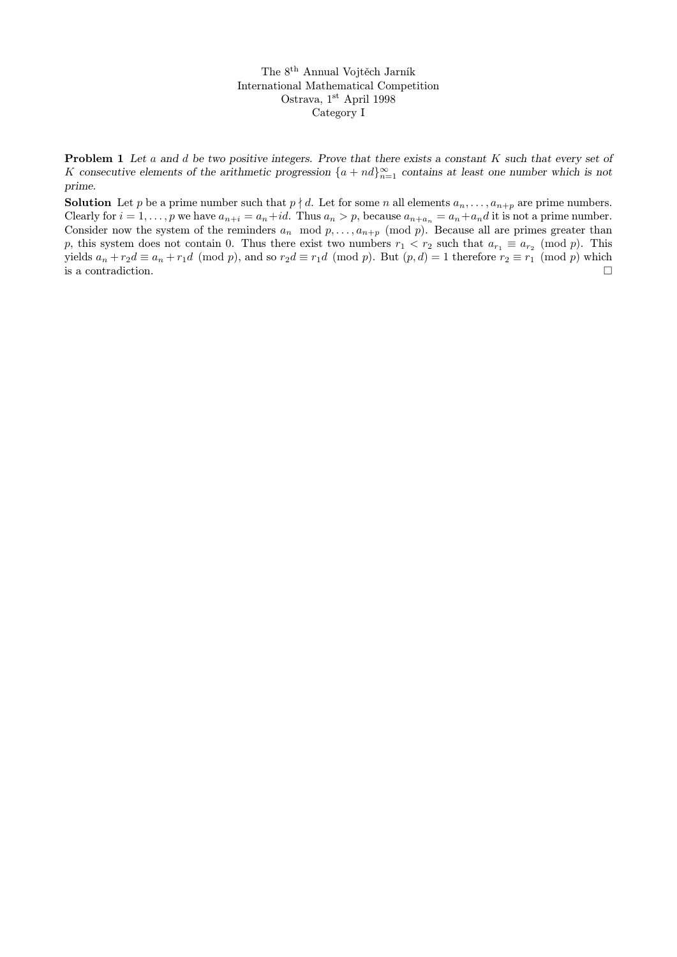The 8th Annual Vojtěch Jarník International Mathematical Competition Ostrava, 1st April 1998 Category I

**Problem 1** Let a and d be two positive integers. Prove that there exists a constant K such that every set of K consecutive elements of the arithmetic progression  $\{a+nd\}_{n=1}^{\infty}$  contains at least one number which is not prime.

**Solution** Let p be a prime number such that  $p \nmid d$ . Let for some n all elements  $a_n, \ldots, a_{n+p}$  are prime numbers. Clearly for  $i = 1, ..., p$  we have  $a_{n+i} = a_n + id$ . Thus  $a_n > p$ , because  $a_{n+a_n} = a_n + a_n d$  it is not a prime number. Consider now the system of the reminders  $a_n \mod p, \ldots, a_{n+p} \pmod{p}$ . Because all are primes greater than p, this system does not contain 0. Thus there exist two numbers  $r_1 < r_2$  such that  $a_{r_1} \equiv a_{r_2} \pmod{p}$ . This yields  $a_n + r_2d \equiv a_n + r_1d \pmod{p}$ , and so  $r_2d \equiv r_1d \pmod{p}$ . But  $(p, d) = 1$  therefore  $r_2 \equiv r_1 \pmod{p}$  which is a contradiction.  $\Box$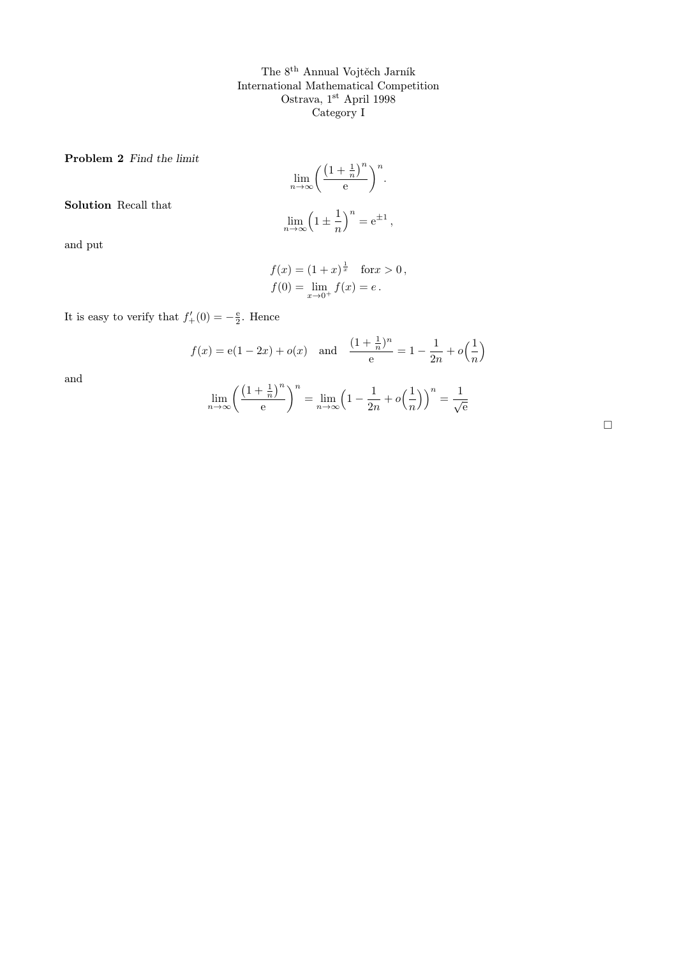The 8th Annual Vojtěch Jarník International Mathematical Competition Ostrava, 1<sup>st</sup> April 1998 Category I

Problem 2 Find the limit

$$
\lim_{n \to \infty} \left( \frac{\left(1 + \frac{1}{n}\right)^n}{e} \right)^n.
$$

Solution Recall that

$$
\lim_{n \to \infty} \left( 1 \pm \frac{1}{n} \right)^n = e^{\pm 1},
$$

and put

$$
f(x) = (1+x)^{\frac{1}{x}} \text{ for } x > 0,
$$
  
\n
$$
f(0) = \lim_{x \to 0^{+}} f(x) = e.
$$

It is easy to verify that  $f'_{+}(0) = -\frac{e}{2}$ . Hence

$$
f(x) = e(1 - 2x) + o(x)
$$
 and  $\frac{(1 + \frac{1}{n})^n}{e} = 1 - \frac{1}{2n} + o(\frac{1}{n})$ 

and

$$
\lim_{n \to \infty} \left( \frac{\left(1 + \frac{1}{n}\right)^n}{e} \right)^n = \lim_{n \to \infty} \left(1 - \frac{1}{2n} + o\left(\frac{1}{n}\right)\right)^n = \frac{1}{\sqrt{e}}
$$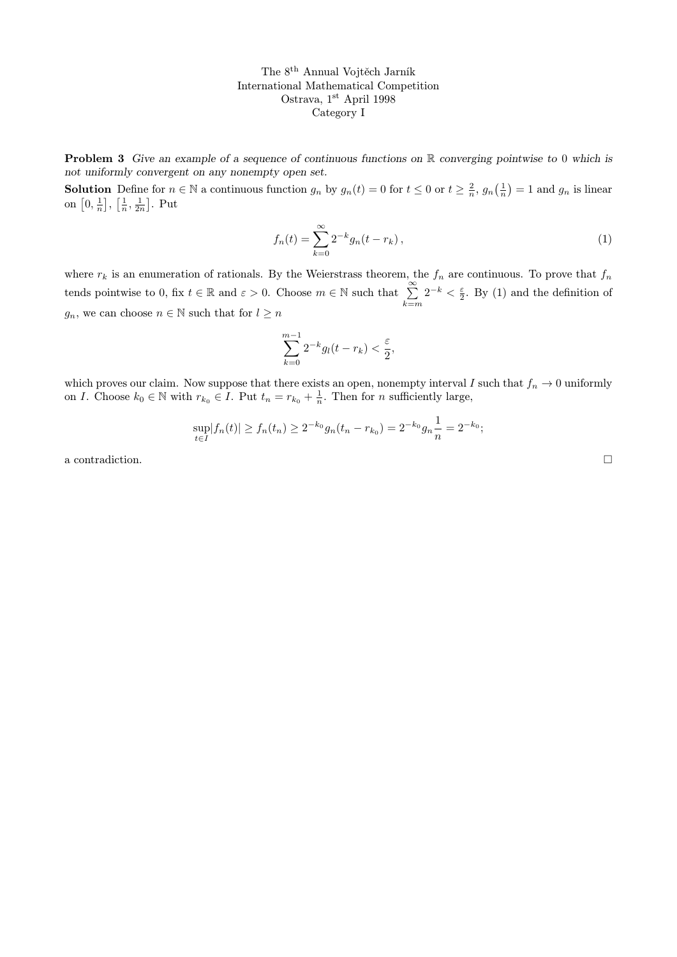The 8th Annual Vojtěch Jarník International Mathematical Competition Ostrava, 1st April 1998 Category I

**Problem 3** Give an example of a sequence of continuous functions on  $\mathbb{R}$  converging pointwise to 0 which is not uniformly convergent on any nonempty open set.

**Solution** Define for  $n \in \mathbb{N}$  a continuous function  $g_n$  by  $g_n(t) = 0$  for  $t \leq 0$  or  $t \geq \frac{2}{n}$ ,  $g_n(\frac{1}{n}) = 1$  and  $g_n$  is linear on  $\left[0, \frac{1}{n}\right], \left[\frac{1}{n}, \frac{1}{2n}\right]$ . Put

$$
f_n(t) = \sum_{k=0}^{\infty} 2^{-k} g_n(t - r_k),
$$
\n(1)

where  $r_k$  is an enumeration of rationals. By the Weierstrass theorem, the  $f_n$  are continuous. To prove that  $f_n$ tends pointwise to 0, fix  $t \in \mathbb{R}$  and  $\varepsilon > 0$ . Choose  $m \in \mathbb{N}$  such that  $\sum_{k=0}^{\infty}$  $k = m$  $2^{-k} < \frac{\varepsilon}{2}$ . By (1) and the definition of  $g_n$ , we can choose  $n \in \mathbb{N}$  such that for  $l \geq n$ 

$$
\sum_{k=0}^{m-1} 2^{-k} g_l(t-r_k) < \frac{\varepsilon}{2},
$$

which proves our claim. Now suppose that there exists an open, nonempty interval I such that  $f_n \to 0$  uniformly on I. Choose  $k_0 \in \mathbb{N}$  with  $r_{k_0} \in I$ . Put  $t_n = r_{k_0} + \frac{1}{n}$ . Then for n sufficiently large,

$$
\sup_{t \in I} |f_n(t)| \ge f_n(t_n) \ge 2^{-k_0} g_n(t_n - r_{k_0}) = 2^{-k_0} g_n \frac{1}{n} = 2^{-k_0};
$$

a contradiction.  $\hfill \square$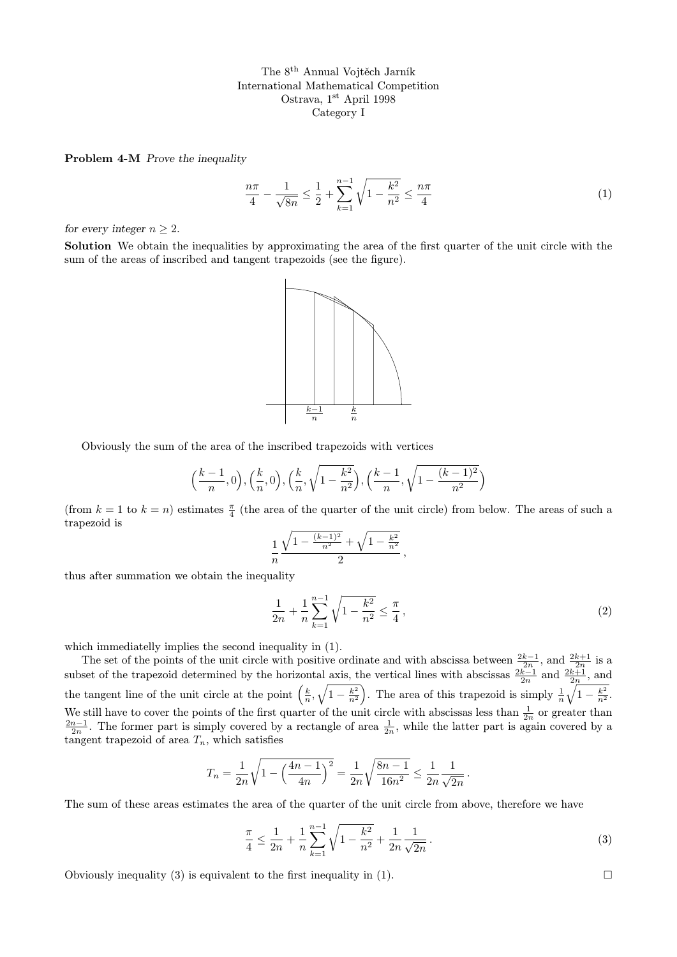The 8th Annual Vojtěch Jarník International Mathematical Competition Ostrava, 1<sup>st</sup> April 1998 Category I

Problem 4-M Prove the inequality

$$
\frac{n\pi}{4} - \frac{1}{\sqrt{8n}} \le \frac{1}{2} + \sum_{k=1}^{n-1} \sqrt{1 - \frac{k^2}{n^2}} \le \frac{n\pi}{4}
$$
\n(1)

for every integer  $n \geq 2$ .

Solution We obtain the inequalities by approximating the area of the first quarter of the unit circle with the sum of the areas of inscribed and tangent trapezoids (see the figure).



Obviously the sum of the area of the inscribed trapezoids with vertices

$$
\left(\frac{k-1}{n},0\right), \left(\frac{k}{n},0\right), \left(\frac{k}{n},\sqrt{1-\frac{k^2}{n^2}}\right), \left(\frac{k-1}{n},\sqrt{1-\frac{(k-1)^2}{n^2}}\right)
$$

(from  $k = 1$  to  $k = n$ ) estimates  $\frac{\pi}{4}$  (the area of the quarter of the unit circle) from below. The areas of such a trapezoid is

$$
\frac{1}{n} \frac{\sqrt{1 - \frac{(k-1)^2}{n^2}} + \sqrt{1 - \frac{k^2}{n^2}}}{2},
$$

thus after summation we obtain the inequality

$$
\frac{1}{2n} + \frac{1}{n} \sum_{k=1}^{n-1} \sqrt{1 - \frac{k^2}{n^2}} \le \frac{\pi}{4},\tag{2}
$$

which immediatelly implies the second inequality in  $(1)$ .

The set of the points of the unit circle with positive ordinate and with abscissa between  $\frac{2k-1}{2n}$ , and  $\frac{2k+1}{2n}$  is a subset of the trapezoid determined by the horizontal axis, the vertical lines with abscissas  $\frac{2k-1}{2n}$  and  $\frac{2k+1}{2n}$ , and the tangent line of the unit circle at the point  $\left(\frac{k}{n},\sqrt{1-\frac{k^2}{n^2}}\right)$ . The area of this trapezoid is simply  $\frac{1}{n}\sqrt{1-\frac{k^2}{n^2}}$ . We still have to cover the points of the first quarter of the unit circle with abscissas less than  $\frac{1}{2n}$  or greater than  $\frac{2n-1}{2n}$ . The former part is simply covered by a rectangle of area  $\frac{1}{2n}$ , while the l tangent trapezoid of area  $T_n$ , which satisfies

$$
T_n = \frac{1}{2n} \sqrt{1 - \left(\frac{4n-1}{4n}\right)^2} = \frac{1}{2n} \sqrt{\frac{8n-1}{16n^2}} \le \frac{1}{2n} \frac{1}{\sqrt{2n}}.
$$

The sum of these areas estimates the area of the quarter of the unit circle from above, therefore we have

$$
\frac{\pi}{4} \le \frac{1}{2n} + \frac{1}{n} \sum_{k=1}^{n-1} \sqrt{1 - \frac{k^2}{n^2}} + \frac{1}{2n} \frac{1}{\sqrt{2n}}.
$$
\n(3)

Obviously inequality (3) is equivalent to the first inequality in (1).  $\Box$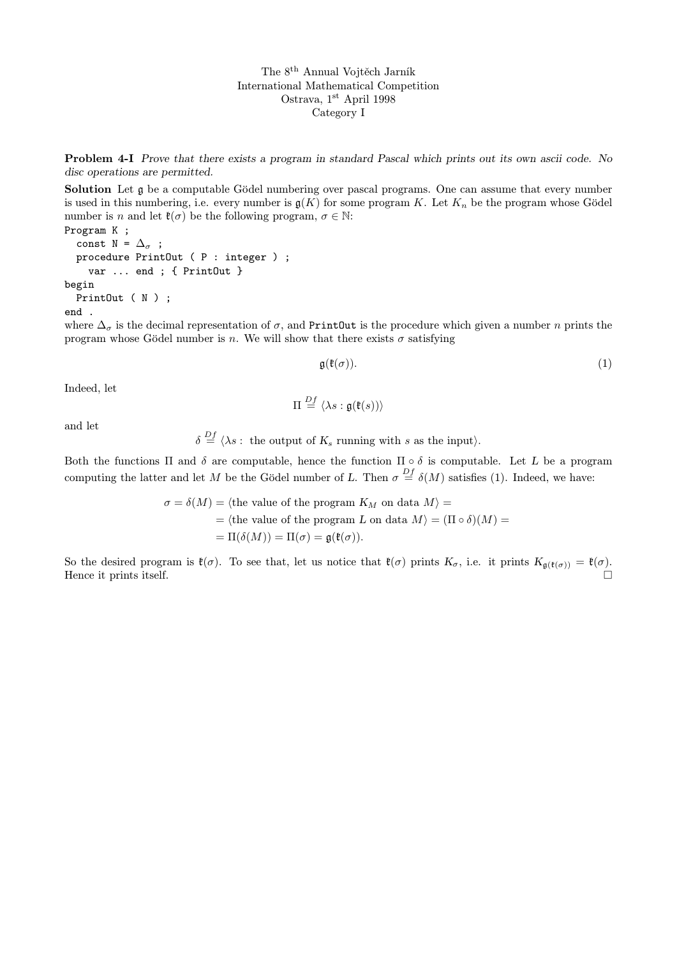The 8th Annual Vojtěch Jarník International Mathematical Competition Ostrava, 1st April 1998 Category I

Problem 4-I Prove that there exists a program in standard Pascal which prints out its own ascii code. No disc operations are permitted.

Solution Let g be a computable Gödel numbering over pascal programs. One can assume that every number is used in this numbering, i.e. every number is  $\mathfrak{g}(K)$  for some program K. Let  $K_n$  be the program whose Gödel number is n and let  $\mathfrak{k}(\sigma)$  be the following program,  $\sigma \in \mathbb{N}$ :

Program K ; const N =  $\Delta_{\sigma}$ ; procedure PrintOut ( P : integer ) ; var ... end ; { PrintOut } begin PrintOut (N); end .

where  $\Delta_{\sigma}$  is the decimal representation of  $\sigma$ , and PrintOut is the procedure which given a number n prints the program whose Gödel number is n. We will show that there exists  $\sigma$  satisfying

$$
\mathfrak{g}(\mathfrak{k}(\sigma)).\tag{1}
$$

Indeed, let

$$
\Pi \stackrel{Df}{=} \langle \lambda s : \mathfrak{g}(\mathfrak{k}(s)) \rangle
$$

and let

 $\delta \stackrel{Df}{=} \langle \lambda s :$  the output of  $K_s$  running with s as the input).

Both the functions  $\Pi$  and  $\delta$  are computable, hence the function  $\Pi \circ \delta$  is computable. Let L be a program computing the latter and let M be the Gödel number of L. Then  $\sigma \stackrel{Df}{=} \delta(M)$  satisfies (1). Indeed, we have:

$$
\sigma = \delta(M) = \langle \text{the value of the program } K_M \text{ on data } M \rangle =
$$
  
=  $\langle \text{the value of the program } L \text{ on data } M \rangle = (\Pi \circ \delta)(M) =$   
=  $\Pi(\delta(M)) = \Pi(\sigma) = \mathfrak{g}(\mathfrak{k}(\sigma)).$ 

So the desired program is  $\mathfrak{k}(\sigma)$ . To see that, let us notice that  $\mathfrak{k}(\sigma)$  prints  $K_{\sigma}$ , i.e. it prints  $K_{\mathfrak{g}(\mathfrak{k}(\sigma))} = \mathfrak{k}(\sigma)$ . Hence it prints itself.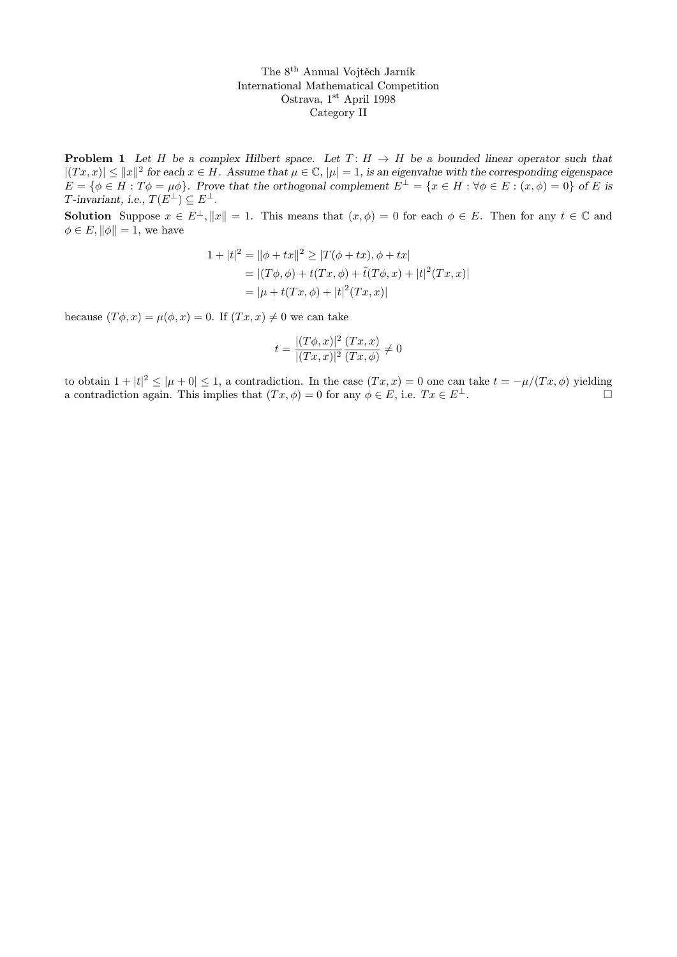The 8th Annual Vojtěch Jarník International Mathematical Competition Ostrava, 1st April 1998 Category II

**Problem 1** Let H be a complex Hilbert space. Let  $T: H \rightarrow H$  be a bounded linear operator such that  $|(Tx, x)| \le ||x||^2$  for each  $x \in H$ . Assume that  $\mu \in \mathbb{C}$ ,  $|\mu|=1$ , is an eigenvalue with the corresponding eigenspace  $E = \{\phi \in H : T\phi = \mu\phi\}.$  Prove that the orthogonal complement  $E^{\perp} = \{x \in H : \forall \phi \in E : (x, \phi) = 0\}$  of E is T-invariant, i.e.,  $T(E^{\perp}) \subseteq E^{\perp}$ .

**Solution** Suppose  $x \in E^{\perp}$ ,  $||x|| = 1$ . This means that  $(x, \phi) = 0$  for each  $\phi \in E$ . Then for any  $t \in \mathbb{C}$  and  $\phi \in E$ ,  $\|\phi\| = 1$ , we have

$$
1 + |t|^2 = ||\phi + tx||^2 \ge |T(\phi + tx), \phi + tx|
$$
  
= |(T\phi, \phi) + t(Tx, \phi) + \bar{t}(T\phi, x) + |t|^2(Tx, x)|  
= |\mu + t(Tx, \phi) + |t|^2(Tx, x)|

because  $(T\phi, x) = \mu(\phi, x) = 0$ . If  $(Tx, x) \neq 0$  we can take

$$
t = \frac{|(T\phi, x)|^2}{|(Tx, x)|^2} \frac{(Tx, x)}{(Tx, \phi)} \neq 0
$$

to obtain  $1+|t|^2 \leq |\mu+0| \leq 1$ , a contradiction. In the case  $(Tx,x)=0$  one can take  $t=-\mu/(Tx,\phi)$  yielding a contradiction again. This implies that  $(Tx, \phi) = 0$  for any  $\phi \in E$ , i.e.  $Tx \in E^{\perp}$ .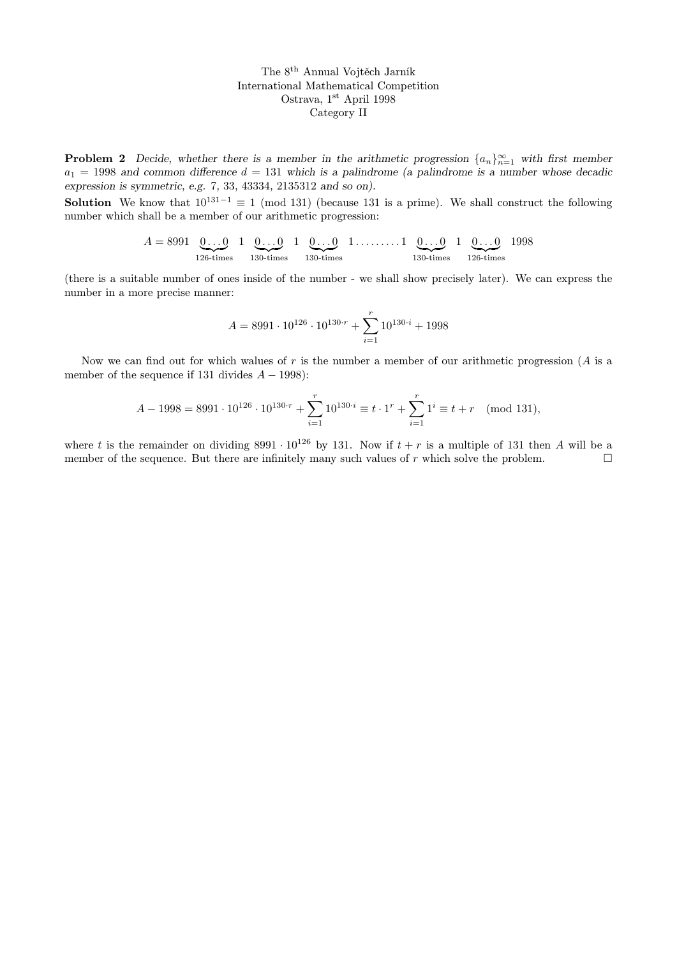The 8th Annual Vojtěch Jarník International Mathematical Competition Ostrava, 1st April 1998 Category II

**Problem 2** Decide, whether there is a member in the arithmetic progression  $\{a_n\}_{n=1}^{\infty}$  with first member  $a_1 = 1998$  and common difference  $d = 131$  which is a palindrome (a palindrome is a number whose decadic expression is symmetric, e.g. 7, 33, 43334, 2135312 and so on).

**Solution** We know that  $10^{131-1} \equiv 1 \pmod{131}$  (because 131 is a prime). We shall construct the following number which shall be a member of our arithmetic progression:

$$
A = 8991 \underbrace{0 \dots 0}_{126 \text{-times}} 1 \underbrace{0 \dots 0}_{130 \text{-times}} 1 \underbrace{0 \dots 0}_{130 \text{-times}} 1 \dots \dots \dots 1 \underbrace{0 \dots 0}_{130 \text{-times}} 1 \underbrace{0 \dots 0}_{126 \text{-times}} 1998
$$

(there is a suitable number of ones inside of the number - we shall show precisely later). We can express the number in a more precise manner:

$$
A = 8991 \cdot 10^{126} \cdot 10^{130 \cdot r} + \sum_{i=1}^{r} 10^{130 \cdot i} + 1998
$$

Now we can find out for which walues of r is the number a member of our arithmetic progression ( $A$  is a member of the sequence if 131 divides  $A - 1998$ :

$$
A - 1998 = 8991 \cdot 10^{126} \cdot 10^{130 \cdot r} + \sum_{i=1}^{r} 10^{130 \cdot i} \equiv t \cdot 1^{r} + \sum_{i=1}^{r} 1^{i} \equiv t + r \pmod{131},
$$

where t is the remainder on dividing 8991 ·  $10^{126}$  by 131. Now if  $t + r$  is a multiple of 131 then A will be a member of the sequence. But there are infinitely many such values of r which solve the problem.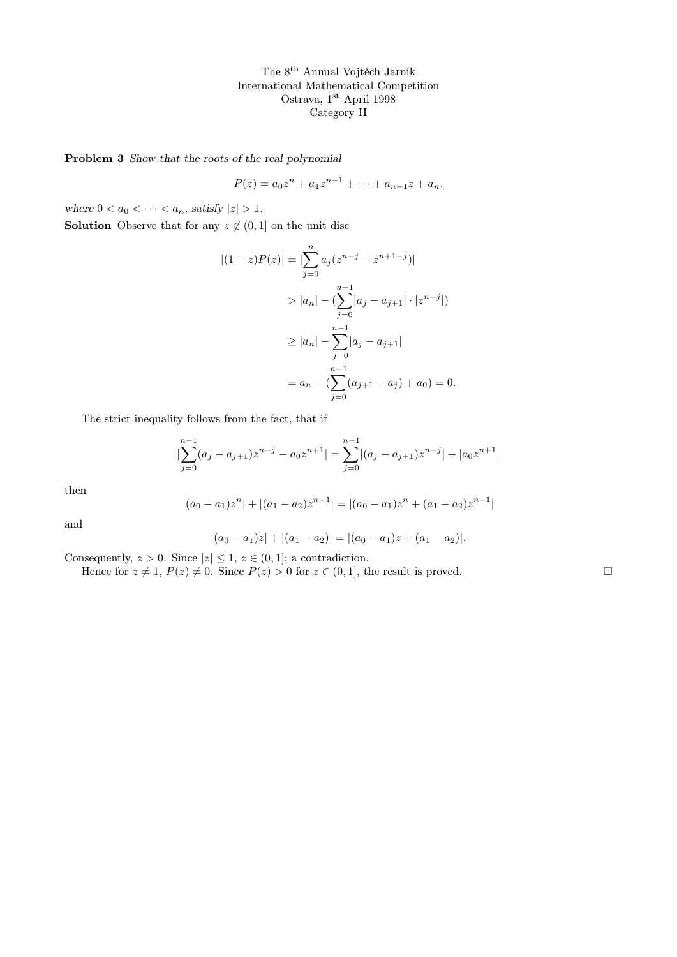The 8th Annual Vojtěch Jarník International Mathematical Competition Ostrava, $1^\mathrm{st}$  April 1998 Category II

Problem 3 Show that the roots of the real polynomial

 $P(z) = a_0 z^n + a_1 z^{n-1} + \cdots + a_{n-1} z + a_n,$ 

where  $0 < a_0 < \cdots < a_n$ , satisfy  $|z| > 1$ .

**Solution** Observe that for any  $z \notin (0, 1]$  on the unit disc

$$
|(1-z)P(z)| = |\sum_{j=0}^{n} a_j (z^{n-j} - z^{n+1-j})|
$$
  
>  $|a_n| - (\sum_{j=0}^{n-1} |a_j - a_{j+1}| \cdot |z^{n-j}|)$   

$$
\ge |a_n| - \sum_{j=0}^{n-1} |a_j - a_{j+1}|
$$
  
=  $a_n - (\sum_{j=0}^{n-1} (a_{j+1} - a_j) + a_0) = 0.$ 

The strict inequality follows from the fact, that if

$$
\left|\sum_{j=0}^{n-1} (a_j - a_{j+1})z^{n-j} - a_0 z^{n+1}\right| = \sum_{j=0}^{n-1} |(a_j - a_{j+1})z^{n-j}| + |a_0 z^{n+1}|
$$

then

$$
|(a_0 - a_1)z^n| + |(a_1 - a_2)z^{n-1}| = |(a_0 - a_1)z^n + (a_1 - a_2)z^{n-1}|
$$

and

$$
|(a_0 - a_1)z| + |(a_1 - a_2)| = |(a_0 - a_1)z + (a_1 - a_2)|.
$$

Consequently,  $z > 0$ . Since  $|z| \leq 1$ ,  $z \in (0, 1]$ ; a contradiction.

Hence for  $z \neq 1$ ,  $P(z) \neq 0$ . Since  $P(z) > 0$  for  $z \in (0, 1]$ , the result is proved.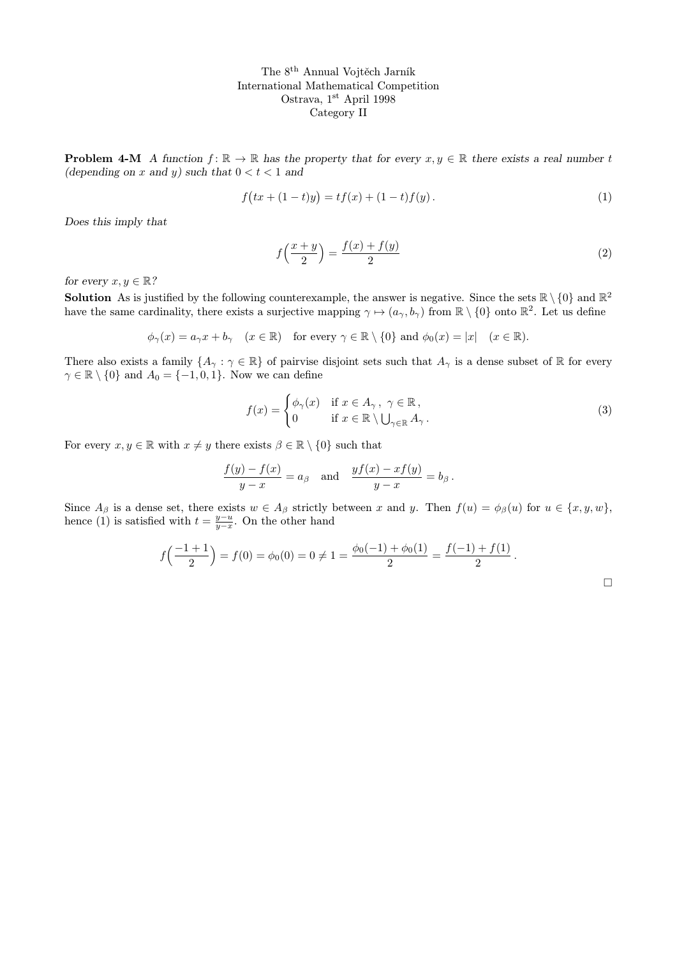The 8th Annual Vojtěch Jarník International Mathematical Competition Ostrava, 1st April 1998 Category II

**Problem 4-M** A function  $f: \mathbb{R} \to \mathbb{R}$  has the property that for every  $x, y \in \mathbb{R}$  there exists a real number t (depending on x and y) such that  $0 < t < 1$  and

$$
f(tx + (1-t)y) = tf(x) + (1-t)f(y).
$$
\n(1)

Does this imply that

$$
f\left(\frac{x+y}{2}\right) = \frac{f(x) + f(y)}{2} \tag{2}
$$

for every  $x, y \in \mathbb{R}$ ?

**Solution** As is justified by the following counterexample, the answer is negative. Since the sets  $\mathbb{R} \setminus \{0\}$  and  $\mathbb{R}^2$ have the same cardinality, there exists a surjective mapping  $\gamma \mapsto (a_{\gamma}, b_{\gamma})$  from  $\mathbb{R} \setminus \{0\}$  onto  $\mathbb{R}^2$ . Let us define

$$
\phi_{\gamma}(x) = a_{\gamma}x + b_{\gamma}
$$
  $(x \in \mathbb{R})$  for every  $\gamma \in \mathbb{R} \setminus \{0\}$  and  $\phi_0(x) = |x|$   $(x \in \mathbb{R})$ .

There also exists a family  $\{A_\gamma : \gamma \in \mathbb{R}\}$  of pairvise disjoint sets such that  $A_\gamma$  is a dense subset of R for every  $\gamma \in \mathbb{R} \setminus \{0\}$  and  $A_0 = \{-1, 0, 1\}$ . Now we can define

$$
f(x) = \begin{cases} \phi_{\gamma}(x) & \text{if } x \in A_{\gamma}, \ \gamma \in \mathbb{R}, \\ 0 & \text{if } x \in \mathbb{R} \setminus \bigcup_{\gamma \in \mathbb{R}} A_{\gamma}. \end{cases}
$$
 (3)

For every  $x, y \in \mathbb{R}$  with  $x \neq y$  there exists  $\beta \in \mathbb{R} \setminus \{0\}$  such that

$$
\frac{f(y) - f(x)}{y - x} = a_{\beta} \quad \text{and} \quad \frac{y f(x) - x f(y)}{y - x} = b_{\beta}.
$$

Since  $A_{\beta}$  is a dense set, there exists  $w \in A_{\beta}$  strictly between x and y. Then  $f(u) = \phi_{\beta}(u)$  for  $u \in \{x, y, w\}$ , hence (1) is satisfied with  $t = \frac{y-u}{y-x}$ . On the other hand

$$
f\left(\frac{-1+1}{2}\right) = f(0) = \phi_0(0) = 0 \neq 1 = \frac{\phi_0(-1) + \phi_0(1)}{2} = \frac{f(-1) + f(1)}{2}.
$$

 $\Box$